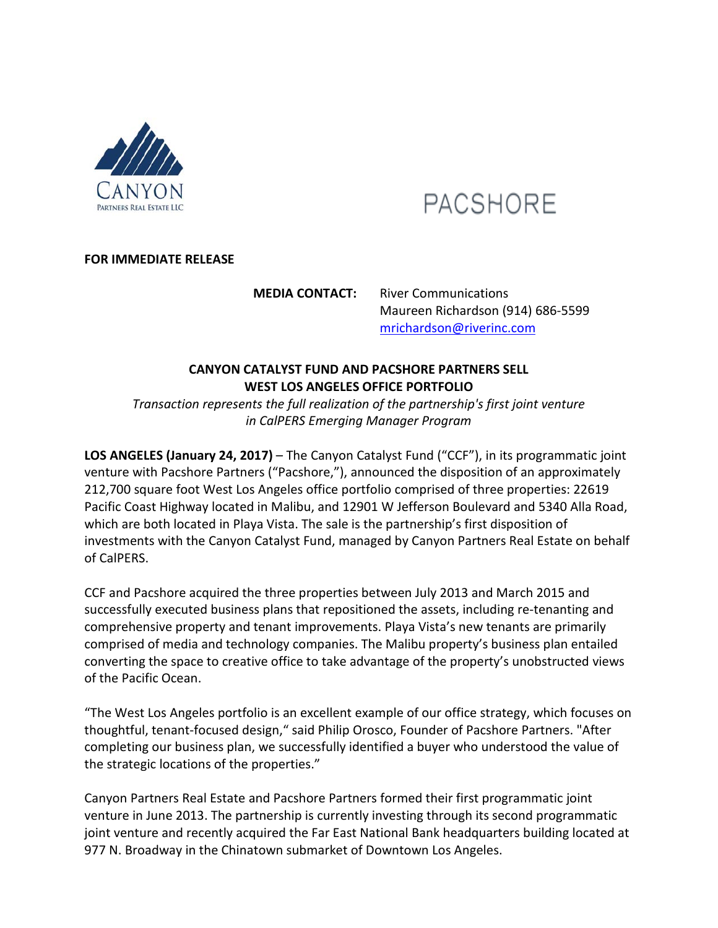

# **PACSHORE**

# **FOR IMMEDIATE RELEASE**

**MEDIA CONTACT:** River Communications Maureen Richardson (914) 686-5599 mrichardson@riverinc.com

# **CANYON CATALYST FUND AND PACSHORE PARTNERS SELL WEST LOS ANGELES OFFICE PORTFOLIO**

*Transaction represents the full realization of the partnership's first joint venture in CalPERS Emerging Manager Program*

**LOS ANGELES (January 24, 2017)** – The Canyon Catalyst Fund ("CCF"), in its programmatic joint venture with Pacshore Partners ("Pacshore,"), announced the disposition of an approximately 212,700 square foot West Los Angeles office portfolio comprised of three properties: 22619 Pacific Coast Highway located in Malibu, and 12901 W Jefferson Boulevard and 5340 Alla Road, which are both located in Playa Vista. The sale is the partnership's first disposition of investments with the Canyon Catalyst Fund, managed by Canyon Partners Real Estate on behalf of CalPERS.

CCF and Pacshore acquired the three properties between July 2013 and March 2015 and successfully executed business plans that repositioned the assets, including re-tenanting and comprehensive property and tenant improvements. Playa Vista's new tenants are primarily comprised of media and technology companies. The Malibu property's business plan entailed converting the space to creative office to take advantage of the property's unobstructed views of the Pacific Ocean.

"The West Los Angeles portfolio is an excellent example of our office strategy, which focuses on thoughtful, tenant-focused design," said Philip Orosco, Founder of Pacshore Partners. "After completing our business plan, we successfully identified a buyer who understood the value of the strategic locations of the properties."

Canyon Partners Real Estate and Pacshore Partners formed their first programmatic joint venture in June 2013. The partnership is currently investing through its second programmatic joint venture and recently acquired the Far East National Bank headquarters building located at 977 N. Broadway in the Chinatown submarket of Downtown Los Angeles.